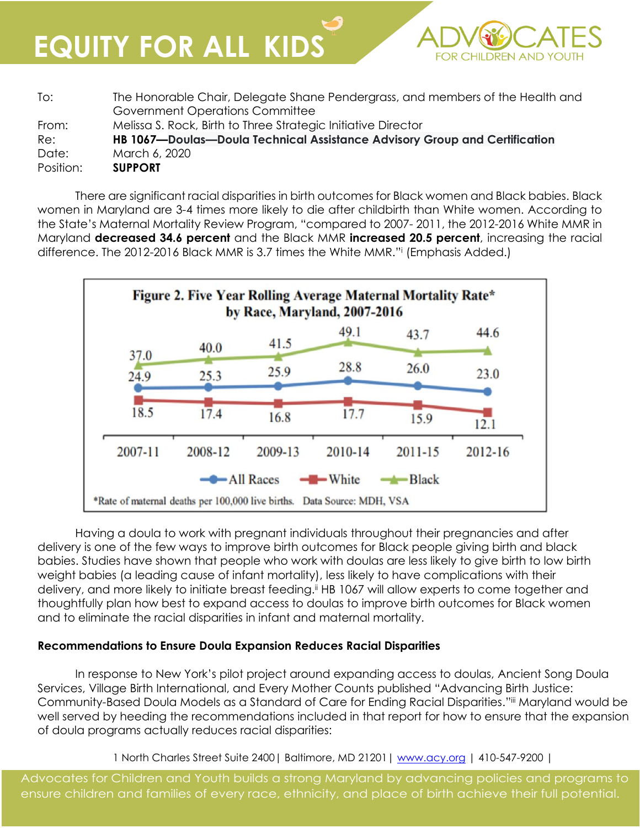**EQUITY FOR ALL KIDS**

| To:       | The Honorable Chair, Delegate Shane Pendergrass, and members of the Health and<br>Government Operations Committee |
|-----------|-------------------------------------------------------------------------------------------------------------------|
| From:     | Melissa S. Rock, Birth to Three Strategic Initiative Director                                                     |
| Re:       | HB 1067—Doulas—Doula Technical Assistance Advisory Group and Certification                                        |
| Date:     | March 6, 2020                                                                                                     |
| Position: | <b>SUPPORT</b>                                                                                                    |

**FOR CHILDREN AND** 

There are significant racial disparities in birth outcomes for Black women and Black babies. Black women in Maryland are 3-4 times more likely to die after childbirth than White women. According to the State's Maternal Mortality Review Program, "compared to 2007- 2011, the 2012-2016 White MMR in Maryland **decreased 34.6 percent** and the Black MMR **increased 20.5 percent**, increasing the racial difference. The 2012-2016 Black MMR is 3.7 times the White MMR."<sup>i</sup> (Emphasis Added.)



Having a doula to work with pregnant individuals throughout their pregnancies and after delivery is one of the few ways to improve birth outcomes for Black people giving birth and black babies. Studies have shown that people who work with doulas are less likely to give birth to low birth weight babies (a leading cause of infant mortality), less likely to have complications with their delivery, and more likely to initiate breast feeding.<sup>ii</sup> HB 1067 will allow experts to come together and thoughtfully plan how best to expand access to doulas to improve birth outcomes for Black women and to eliminate the racial disparities in infant and maternal mortality.

## **Recommendations to Ensure Doula Expansion Reduces Racial Disparities**

In response to New York's pilot project around expanding access to doulas, Ancient Song Doula Services, Village Birth International, and Every Mother Counts published "Advancing Birth Justice: Community-Based Doula Models as a Standard of Care for Ending Racial Disparities."iii Maryland would be well served by heeding the recommendations included in that report for how to ensure that the expansion of doula programs actually reduces racial disparities:

1 North Charles Street Suite 2400| Baltimore, MD 21201| [www.acy.org](http://www.acy.org/) | 410-547-9200 |

Advocates for Children and Youth builds a strong Maryland by advancing policies and programs to ensure children and families of every race, ethnicity, and place of birth achieve their full potential.